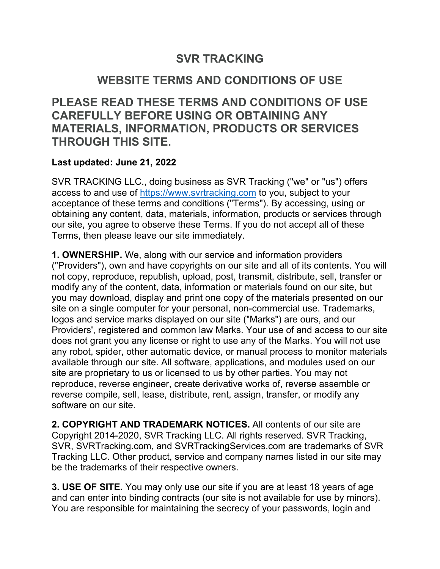## **SVR TRACKING**

## **WEBSITE TERMS AND CONDITIONS OF USE**

**PLEASE READ THESE TERMS AND CONDITIONS OF USE CAREFULLY BEFORE USING OR OBTAINING ANY MATERIALS, INFORMATION, PRODUCTS OR SERVICES THROUGH THIS SITE.**

## **Last updated: June 21, 2022**

SVR TRACKING LLC., doing business as SVR Tracking ("we" or "us") offers access to and use of https://www.svrtracking.com to you, subject to your acceptance of these terms and conditions ("Terms"). By accessing, using or obtaining any content, data, materials, information, products or services through our site, you agree to observe these Terms. If you do not accept all of these Terms, then please leave our site immediately.

**1. OWNERSHIP.** We, along with our service and information providers ("Providers"), own and have copyrights on our site and all of its contents. You will not copy, reproduce, republish, upload, post, transmit, distribute, sell, transfer or modify any of the content, data, information or materials found on our site, but you may download, display and print one copy of the materials presented on our site on a single computer for your personal, non-commercial use. Trademarks, logos and service marks displayed on our site ("Marks") are ours, and our Providers', registered and common law Marks. Your use of and access to our site does not grant you any license or right to use any of the Marks. You will not use any robot, spider, other automatic device, or manual process to monitor materials available through our site. All software, applications, and modules used on our site are proprietary to us or licensed to us by other parties. You may not reproduce, reverse engineer, create derivative works of, reverse assemble or reverse compile, sell, lease, distribute, rent, assign, transfer, or modify any software on our site.

**2. COPYRIGHT AND TRADEMARK NOTICES.** All contents of our site are Copyright 2014-2020, SVR Tracking LLC. All rights reserved. SVR Tracking, SVR, SVRTracking.com, and SVRTrackingServices.com are trademarks of SVR Tracking LLC. Other product, service and company names listed in our site may be the trademarks of their respective owners.

**3. USE OF SITE.** You may only use our site if you are at least 18 years of age and can enter into binding contracts (our site is not available for use by minors). You are responsible for maintaining the secrecy of your passwords, login and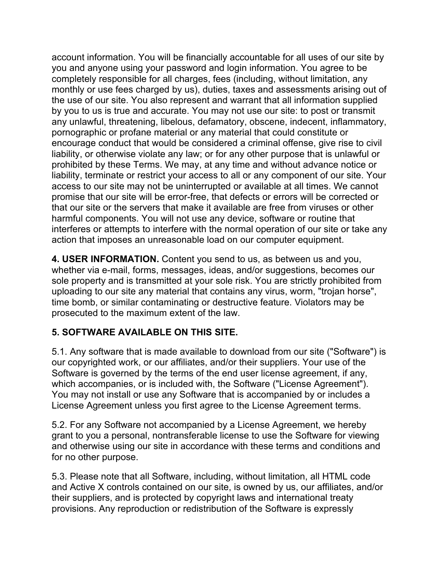account information. You will be financially accountable for all uses of our site by you and anyone using your password and login information. You agree to be completely responsible for all charges, fees (including, without limitation, any monthly or use fees charged by us), duties, taxes and assessments arising out of the use of our site. You also represent and warrant that all information supplied by you to us is true and accurate. You may not use our site: to post or transmit any unlawful, threatening, libelous, defamatory, obscene, indecent, inflammatory, pornographic or profane material or any material that could constitute or encourage conduct that would be considered a criminal offense, give rise to civil liability, or otherwise violate any law; or for any other purpose that is unlawful or prohibited by these Terms. We may, at any time and without advance notice or liability, terminate or restrict your access to all or any component of our site. Your access to our site may not be uninterrupted or available at all times. We cannot promise that our site will be error-free, that defects or errors will be corrected or that our site or the servers that make it available are free from viruses or other harmful components. You will not use any device, software or routine that interferes or attempts to interfere with the normal operation of our site or take any action that imposes an unreasonable load on our computer equipment.

**4. USER INFORMATION.** Content you send to us, as between us and you, whether via e-mail, forms, messages, ideas, and/or suggestions, becomes our sole property and is transmitted at your sole risk. You are strictly prohibited from uploading to our site any material that contains any virus, worm, "trojan horse", time bomb, or similar contaminating or destructive feature. Violators may be prosecuted to the maximum extent of the law.

## **5. SOFTWARE AVAILABLE ON THIS SITE.**

5.1. Any software that is made available to download from our site ("Software") is our copyrighted work, or our affiliates, and/or their suppliers. Your use of the Software is governed by the terms of the end user license agreement, if any, which accompanies, or is included with, the Software ("License Agreement"). You may not install or use any Software that is accompanied by or includes a License Agreement unless you first agree to the License Agreement terms.

5.2. For any Software not accompanied by a License Agreement, we hereby grant to you a personal, nontransferable license to use the Software for viewing and otherwise using our site in accordance with these terms and conditions and for no other purpose.

5.3. Please note that all Software, including, without limitation, all HTML code and Active X controls contained on our site, is owned by us, our affiliates, and/or their suppliers, and is protected by copyright laws and international treaty provisions. Any reproduction or redistribution of the Software is expressly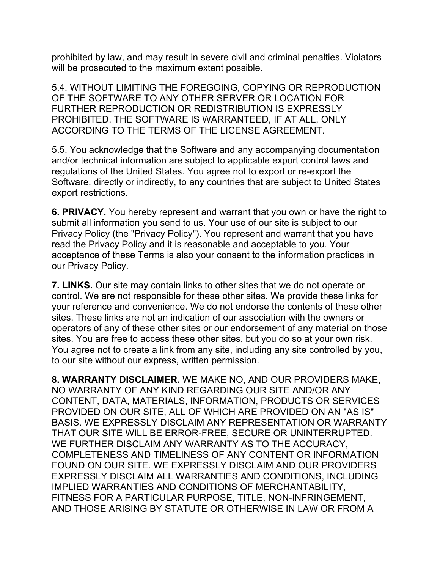prohibited by law, and may result in severe civil and criminal penalties. Violators will be prosecuted to the maximum extent possible.

5.4. WITHOUT LIMITING THE FOREGOING, COPYING OR REPRODUCTION OF THE SOFTWARE TO ANY OTHER SERVER OR LOCATION FOR FURTHER REPRODUCTION OR REDISTRIBUTION IS EXPRESSLY PROHIBITED. THE SOFTWARE IS WARRANTEED, IF AT ALL, ONLY ACCORDING TO THE TERMS OF THE LICENSE AGREEMENT.

5.5. You acknowledge that the Software and any accompanying documentation and/or technical information are subject to applicable export control laws and regulations of the United States. You agree not to export or re-export the Software, directly or indirectly, to any countries that are subject to United States export restrictions.

**6. PRIVACY.** You hereby represent and warrant that you own or have the right to submit all information you send to us. Your use of our site is subject to our Privacy Policy (the "Privacy Policy"). You represent and warrant that you have read the Privacy Policy and it is reasonable and acceptable to you. Your acceptance of these Terms is also your consent to the information practices in our Privacy Policy.

**7. LINKS.** Our site may contain links to other sites that we do not operate or control. We are not responsible for these other sites. We provide these links for your reference and convenience. We do not endorse the contents of these other sites. These links are not an indication of our association with the owners or operators of any of these other sites or our endorsement of any material on those sites. You are free to access these other sites, but you do so at your own risk. You agree not to create a link from any site, including any site controlled by you, to our site without our express, written permission.

**8. WARRANTY DISCLAIMER.** WE MAKE NO, AND OUR PROVIDERS MAKE, NO WARRANTY OF ANY KIND REGARDING OUR SITE AND/OR ANY CONTENT, DATA, MATERIALS, INFORMATION, PRODUCTS OR SERVICES PROVIDED ON OUR SITE, ALL OF WHICH ARE PROVIDED ON AN "AS IS" BASIS. WE EXPRESSLY DISCLAIM ANY REPRESENTATION OR WARRANTY THAT OUR SITE WILL BE ERROR-FREE, SECURE OR UNINTERRUPTED. WE FURTHER DISCLAIM ANY WARRANTY AS TO THE ACCURACY, COMPLETENESS AND TIMELINESS OF ANY CONTENT OR INFORMATION FOUND ON OUR SITE. WE EXPRESSLY DISCLAIM AND OUR PROVIDERS EXPRESSLY DISCLAIM ALL WARRANTIES AND CONDITIONS, INCLUDING IMPLIED WARRANTIES AND CONDITIONS OF MERCHANTABILITY, FITNESS FOR A PARTICULAR PURPOSE, TITLE, NON-INFRINGEMENT, AND THOSE ARISING BY STATUTE OR OTHERWISE IN LAW OR FROM A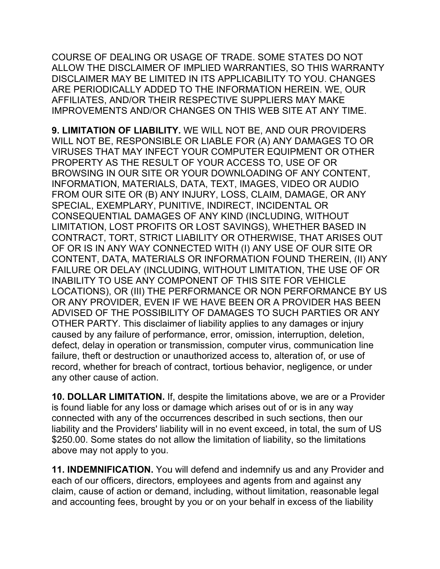COURSE OF DEALING OR USAGE OF TRADE. SOME STATES DO NOT ALLOW THE DISCLAIMER OF IMPLIED WARRANTIES, SO THIS WARRANTY DISCLAIMER MAY BE LIMITED IN ITS APPLICABILITY TO YOU. CHANGES ARE PERIODICALLY ADDED TO THE INFORMATION HEREIN. WE, OUR AFFILIATES, AND/OR THEIR RESPECTIVE SUPPLIERS MAY MAKE IMPROVEMENTS AND/OR CHANGES ON THIS WEB SITE AT ANY TIME.

**9. LIMITATION OF LIABILITY.** WE WILL NOT BE, AND OUR PROVIDERS WILL NOT BE, RESPONSIBLE OR LIABLE FOR (A) ANY DAMAGES TO OR VIRUSES THAT MAY INFECT YOUR COMPUTER EQUIPMENT OR OTHER PROPERTY AS THE RESULT OF YOUR ACCESS TO, USE OF OR BROWSING IN OUR SITE OR YOUR DOWNLOADING OF ANY CONTENT, INFORMATION, MATERIALS, DATA, TEXT, IMAGES, VIDEO OR AUDIO FROM OUR SITE OR (B) ANY INJURY, LOSS, CLAIM, DAMAGE, OR ANY SPECIAL, EXEMPLARY, PUNITIVE, INDIRECT, INCIDENTAL OR CONSEQUENTIAL DAMAGES OF ANY KIND (INCLUDING, WITHOUT LIMITATION, LOST PROFITS OR LOST SAVINGS), WHETHER BASED IN CONTRACT, TORT, STRICT LIABILITY OR OTHERWISE, THAT ARISES OUT OF OR IS IN ANY WAY CONNECTED WITH (I) ANY USE OF OUR SITE OR CONTENT, DATA, MATERIALS OR INFORMATION FOUND THEREIN, (II) ANY FAILURE OR DELAY (INCLUDING, WITHOUT LIMITATION, THE USE OF OR INABILITY TO USE ANY COMPONENT OF THIS SITE FOR VEHICLE LOCATIONS), OR (III) THE PERFORMANCE OR NON PERFORMANCE BY US OR ANY PROVIDER, EVEN IF WE HAVE BEEN OR A PROVIDER HAS BEEN ADVISED OF THE POSSIBILITY OF DAMAGES TO SUCH PARTIES OR ANY OTHER PARTY. This disclaimer of liability applies to any damages or injury caused by any failure of performance, error, omission, interruption, deletion, defect, delay in operation or transmission, computer virus, communication line failure, theft or destruction or unauthorized access to, alteration of, or use of record, whether for breach of contract, tortious behavior, negligence, or under any other cause of action.

**10. DOLLAR LIMITATION.** If, despite the limitations above, we are or a Provider is found liable for any loss or damage which arises out of or is in any way connected with any of the occurrences described in such sections, then our liability and the Providers' liability will in no event exceed, in total, the sum of US \$250.00. Some states do not allow the limitation of liability, so the limitations above may not apply to you.

**11. INDEMNIFICATION.** You will defend and indemnify us and any Provider and each of our officers, directors, employees and agents from and against any claim, cause of action or demand, including, without limitation, reasonable legal and accounting fees, brought by you or on your behalf in excess of the liability